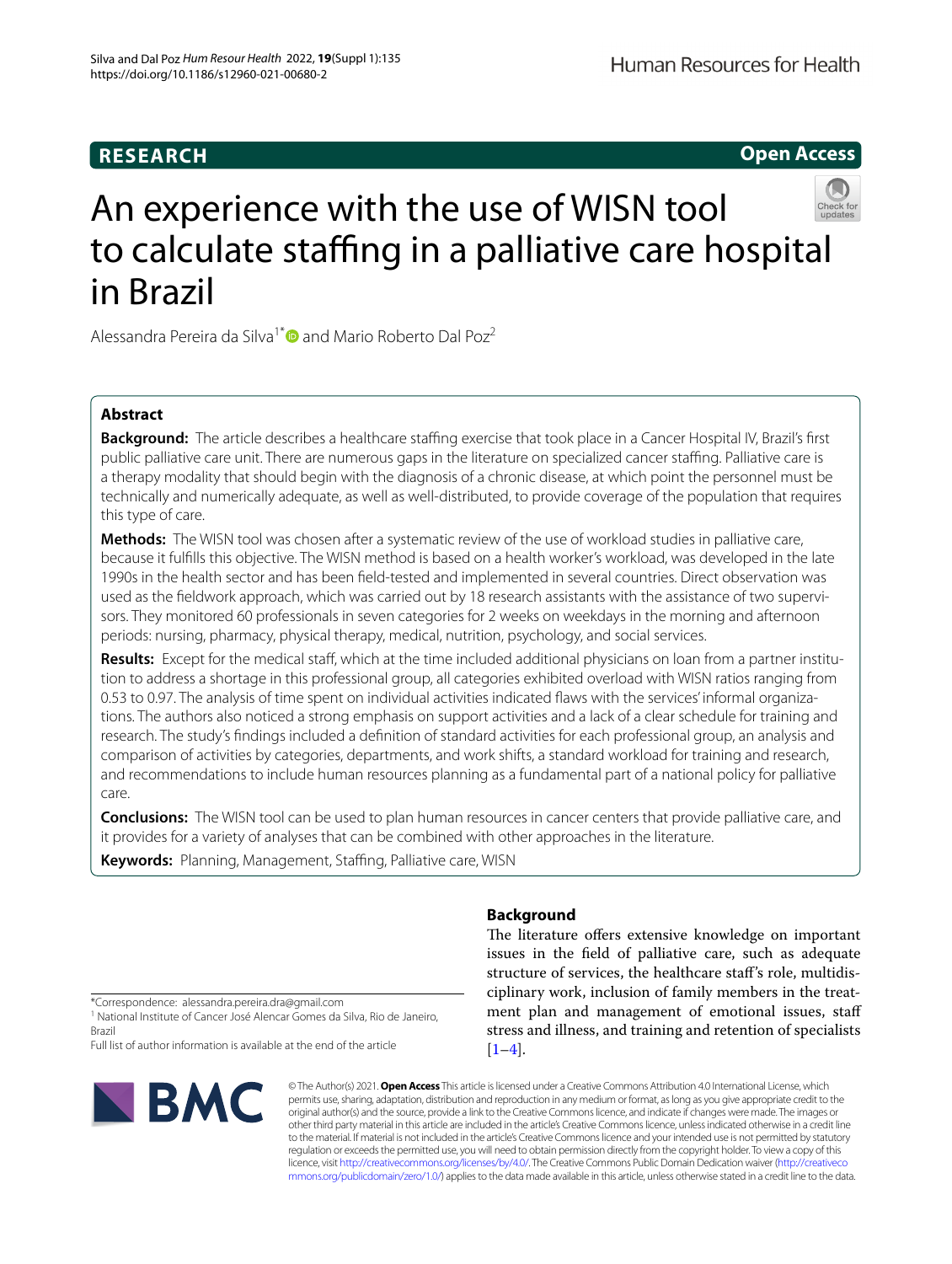# **RESEARCH**

# **Open Access**



# An experience with the use of WISN tool to calculate staffing in a palliative care hospital in Brazil

Alessandra Pereira da Silva<sup>1[\\*](http://orcid.org/0000-0001-8730-889X)</sup> and Mario Roberto Dal Poz<sup>2</sup>

# **Abstract**

**Background:** The article describes a healthcare staffing exercise that took place in a Cancer Hospital IV. Brazil's first public palliative care unit. There are numerous gaps in the literature on specialized cancer staffing. Palliative care is a therapy modality that should begin with the diagnosis of a chronic disease, at which point the personnel must be technically and numerically adequate, as well as well-distributed, to provide coverage of the population that requires this type of care.

**Methods:** The WISN tool was chosen after a systematic review of the use of workload studies in palliative care, because it fulflls this objective. The WISN method is based on a health worker's workload, was developed in the late 1990s in the health sector and has been feld-tested and implemented in several countries. Direct observation was used as the feldwork approach, which was carried out by 18 research assistants with the assistance of two supervisors. They monitored 60 professionals in seven categories for 2 weeks on weekdays in the morning and afternoon periods: nursing, pharmacy, physical therapy, medical, nutrition, psychology, and social services.

**Results:** Except for the medical staff, which at the time included additional physicians on loan from a partner institution to address a shortage in this professional group, all categories exhibited overload with WISN ratios ranging from 0.53 to 0.97. The analysis of time spent on individual activities indicated faws with the services' informal organizations. The authors also noticed a strong emphasis on support activities and a lack of a clear schedule for training and research. The study's fndings included a defnition of standard activities for each professional group, an analysis and comparison of activities by categories, departments, and work shifts, a standard workload for training and research, and recommendations to include human resources planning as a fundamental part of a national policy for palliative care.

**Conclusions:** The WISN tool can be used to plan human resources in cancer centers that provide palliative care, and it provides for a variety of analyses that can be combined with other approaches in the literature.

Keywords: Planning, Management, Staffing, Palliative care, WISN

# **Background**

The literature offers extensive knowledge on important issues in the feld of palliative care, such as adequate structure of services, the healthcare staf's role, multidisciplinary work, inclusion of family members in the treatment plan and management of emotional issues, staf stress and illness, and training and retention of specialists  $[1-4]$  $[1-4]$ .

\*Correspondence: alessandra.pereira.dra@gmail.com

<sup>1</sup> National Institute of Cancer José Alencar Gomes da Silva, Rio de Janeiro, Brazil

Full list of author information is available at the end of the article



© The Author(s) 2021. **Open Access** This article is licensed under a Creative Commons Attribution 4.0 International License, which permits use, sharing, adaptation, distribution and reproduction in any medium or format, as long as you give appropriate credit to the original author(s) and the source, provide a link to the Creative Commons licence, and indicate if changes were made. The images or other third party material in this article are included in the article's Creative Commons licence, unless indicated otherwise in a credit line to the material. If material is not included in the article's Creative Commons licence and your intended use is not permitted by statutory regulation or exceeds the permitted use, you will need to obtain permission directly from the copyright holder. To view a copy of this licence, visit [http://creativecommons.org/licenses/by/4.0/.](http://creativecommons.org/licenses/by/4.0/) The Creative Commons Public Domain Dedication waiver ([http://creativeco](http://creativecommons.org/publicdomain/zero/1.0/) [mmons.org/publicdomain/zero/1.0/](http://creativecommons.org/publicdomain/zero/1.0/)) applies to the data made available in this article, unless otherwise stated in a credit line to the data.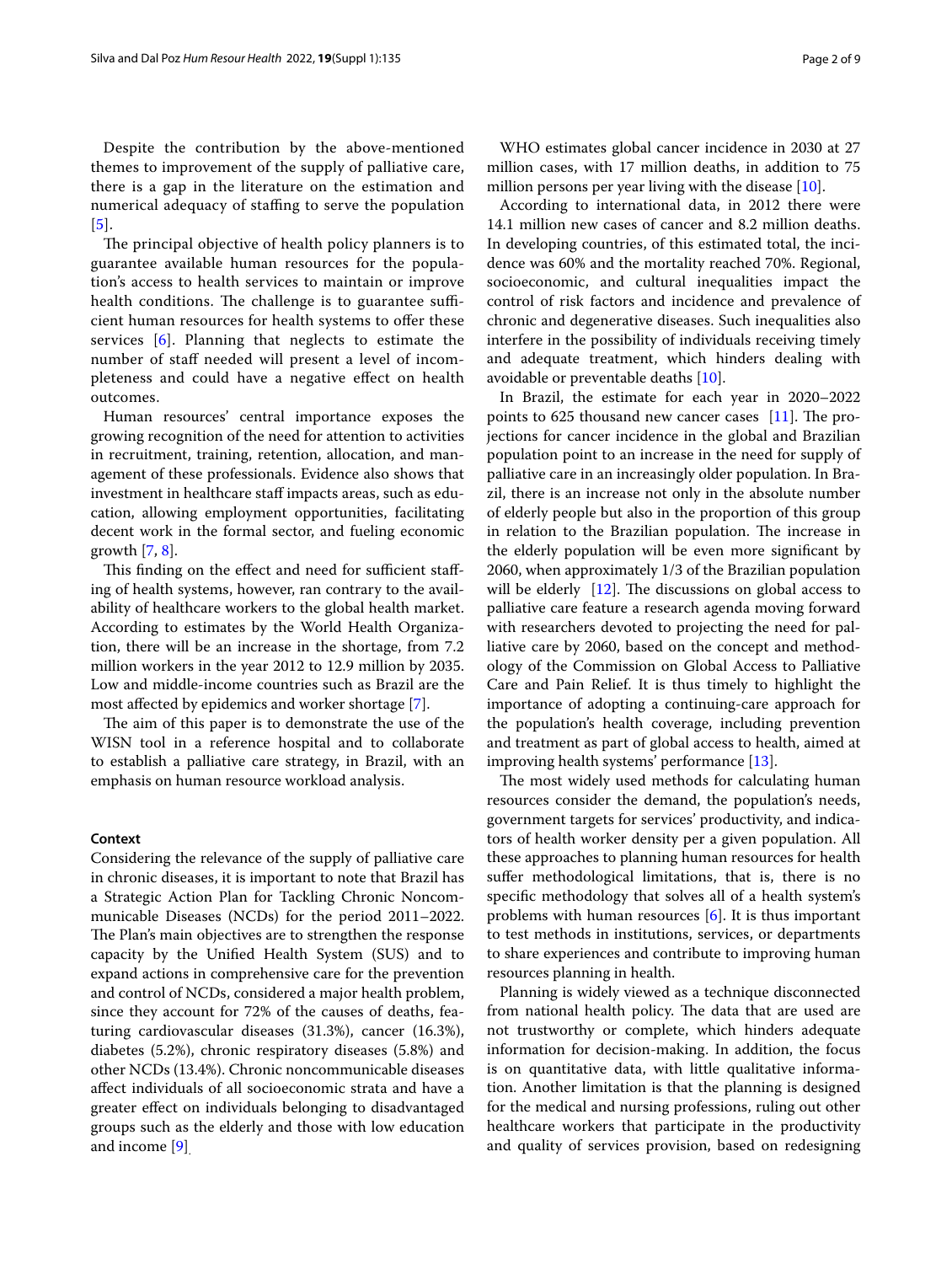Despite the contribution by the above-mentioned themes to improvement of the supply of palliative care, there is a gap in the literature on the estimation and numerical adequacy of staffing to serve the population [[5](#page-8-2)].

The principal objective of health policy planners is to guarantee available human resources for the population's access to health services to maintain or improve health conditions. The challenge is to guarantee sufficient human resources for health systems to offer these services [\[6](#page-8-3)]. Planning that neglects to estimate the number of staff needed will present a level of incompleteness and could have a negative efect on health outcomes.

Human resources' central importance exposes the growing recognition of the need for attention to activities in recruitment, training, retention, allocation, and management of these professionals. Evidence also shows that investment in healthcare staff impacts areas, such as education, allowing employment opportunities, facilitating decent work in the formal sector, and fueling economic growth  $[7, 8]$  $[7, 8]$  $[7, 8]$  $[7, 8]$ .

This finding on the effect and need for sufficient staffing of health systems, however, ran contrary to the availability of healthcare workers to the global health market. According to estimates by the World Health Organization, there will be an increase in the shortage, from 7.2 million workers in the year 2012 to 12.9 million by 2035. Low and middle-income countries such as Brazil are the most afected by epidemics and worker shortage [[7\]](#page-8-4).

The aim of this paper is to demonstrate the use of the WISN tool in a reference hospital and to collaborate to establish a palliative care strategy, in Brazil, with an emphasis on human resource workload analysis.

#### **Context**

Considering the relevance of the supply of palliative care in chronic diseases, it is important to note that Brazil has a Strategic Action Plan for Tackling Chronic Noncommunicable Diseases (NCDs) for the period 2011–2022. The Plan's main objectives are to strengthen the response capacity by the Unifed Health System (SUS) and to expand actions in comprehensive care for the prevention and control of NCDs, considered a major health problem, since they account for 72% of the causes of deaths, featuring cardiovascular diseases (31.3%), cancer (16.3%), diabetes (5.2%), chronic respiratory diseases (5.8%) and other NCDs (13.4%). Chronic noncommunicable diseases afect individuals of all socioeconomic strata and have a greater efect on individuals belonging to disadvantaged groups such as the elderly and those with low education and income [[9\]](#page-8-6).

WHO estimates global cancer incidence in 2030 at 27 million cases, with 17 million deaths, in addition to 75 million persons per year living with the disease [\[10](#page-8-7)].

According to international data, in 2012 there were 14.1 million new cases of cancer and 8.2 million deaths. In developing countries, of this estimated total, the incidence was 60% and the mortality reached 70%. Regional, socioeconomic, and cultural inequalities impact the control of risk factors and incidence and prevalence of chronic and degenerative diseases. Such inequalities also interfere in the possibility of individuals receiving timely and adequate treatment, which hinders dealing with avoidable or preventable deaths [\[10\]](#page-8-7).

In Brazil, the estimate for each year in 2020–2022 points to  $625$  thousand new cancer cases [\[11](#page-8-8)]. The projections for cancer incidence in the global and Brazilian population point to an increase in the need for supply of palliative care in an increasingly older population. In Brazil, there is an increase not only in the absolute number of elderly people but also in the proportion of this group in relation to the Brazilian population. The increase in the elderly population will be even more signifcant by 2060, when approximately 1/3 of the Brazilian population will be elderly  $[12]$  $[12]$ . The discussions on global access to palliative care feature a research agenda moving forward with researchers devoted to projecting the need for palliative care by 2060, based on the concept and methodology of the Commission on Global Access to Palliative Care and Pain Relief. It is thus timely to highlight the importance of adopting a continuing-care approach for the population's health coverage, including prevention and treatment as part of global access to health, aimed at improving health systems' performance [\[13](#page-8-10)].

The most widely used methods for calculating human resources consider the demand, the population's needs, government targets for services' productivity, and indicators of health worker density per a given population. All these approaches to planning human resources for health suffer methodological limitations, that is, there is no specifc methodology that solves all of a health system's problems with human resources [\[6](#page-8-3)]. It is thus important to test methods in institutions, services, or departments to share experiences and contribute to improving human resources planning in health.

Planning is widely viewed as a technique disconnected from national health policy. The data that are used are not trustworthy or complete, which hinders adequate information for decision-making. In addition, the focus is on quantitative data, with little qualitative information. Another limitation is that the planning is designed for the medical and nursing professions, ruling out other healthcare workers that participate in the productivity and quality of services provision, based on redesigning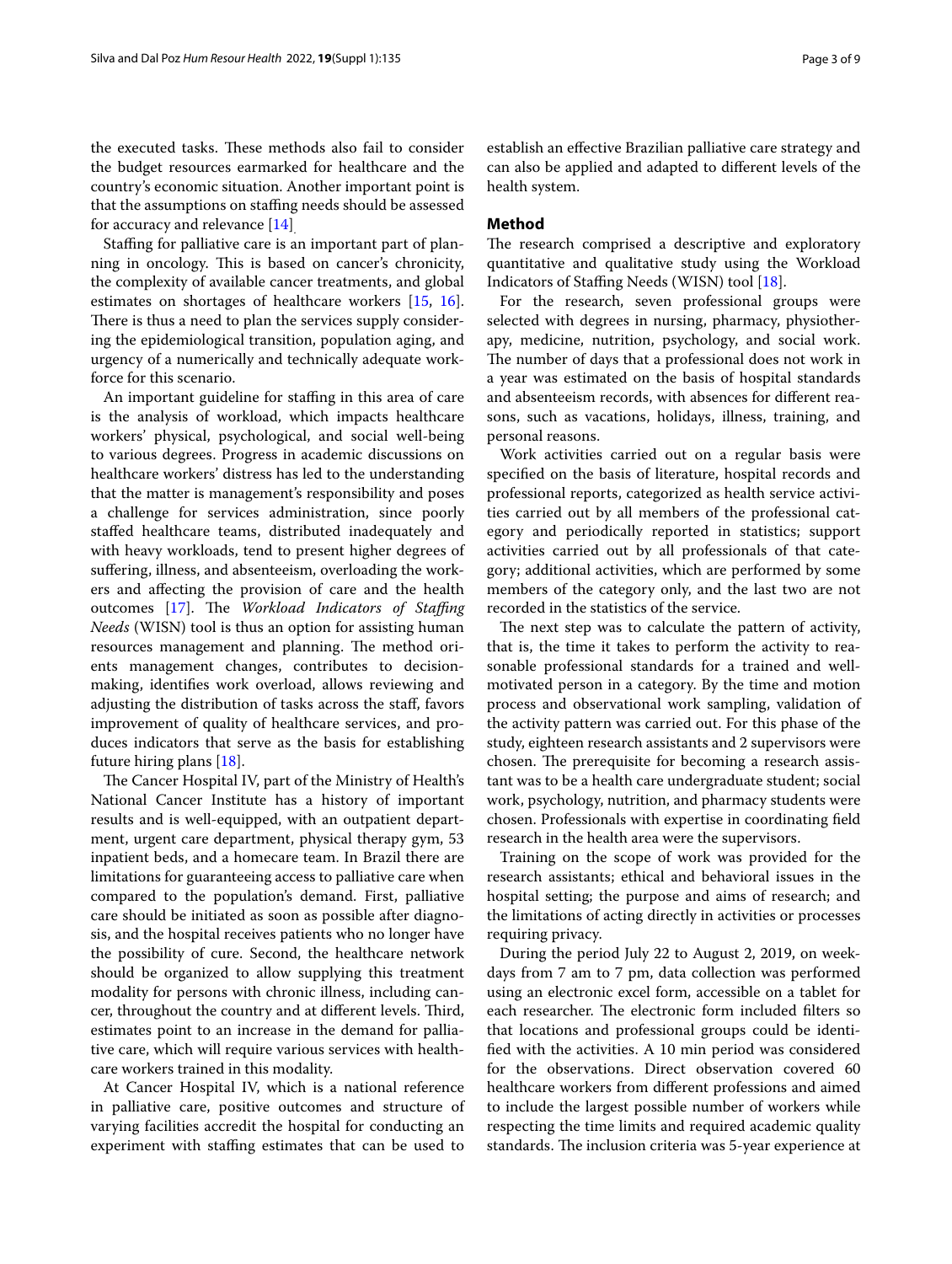the executed tasks. These methods also fail to consider the budget resources earmarked for healthcare and the country's economic situation. Another important point is that the assumptions on stafng needs should be assessed for accuracy and relevance [[14\]](#page-8-11).

Stafng for palliative care is an important part of planning in oncology. This is based on cancer's chronicity, the complexity of available cancer treatments, and global estimates on shortages of healthcare workers [[15](#page-8-12), [16](#page-8-13)]. There is thus a need to plan the services supply considering the epidemiological transition, population aging, and urgency of a numerically and technically adequate workforce for this scenario.

An important guideline for staffing in this area of care is the analysis of workload, which impacts healthcare workers' physical, psychological, and social well-being to various degrees. Progress in academic discussions on healthcare workers' distress has led to the understanding that the matter is management's responsibility and poses a challenge for services administration, since poorly stafed healthcare teams, distributed inadequately and with heavy workloads, tend to present higher degrees of sufering, illness, and absenteeism, overloading the workers and afecting the provision of care and the health outcomes [\[17](#page-8-14)]. The *Workload Indicators of Staffing Needs* (WISN) tool is thus an option for assisting human resources management and planning. The method orients management changes, contributes to decisionmaking, identifes work overload, allows reviewing and adjusting the distribution of tasks across the staf, favors improvement of quality of healthcare services, and produces indicators that serve as the basis for establishing future hiring plans [\[18\]](#page-8-15).

The Cancer Hospital IV, part of the Ministry of Health's National Cancer Institute has a history of important results and is well-equipped, with an outpatient department, urgent care department, physical therapy gym, 53 inpatient beds, and a homecare team. In Brazil there are limitations for guaranteeing access to palliative care when compared to the population's demand. First, palliative care should be initiated as soon as possible after diagnosis, and the hospital receives patients who no longer have the possibility of cure. Second, the healthcare network should be organized to allow supplying this treatment modality for persons with chronic illness, including cancer, throughout the country and at different levels. Third, estimates point to an increase in the demand for palliative care, which will require various services with healthcare workers trained in this modality.

At Cancer Hospital IV, which is a national reference in palliative care, positive outcomes and structure of varying facilities accredit the hospital for conducting an experiment with staffing estimates that can be used to establish an efective Brazilian palliative care strategy and can also be applied and adapted to diferent levels of the health system.

## **Method**

The research comprised a descriptive and exploratory quantitative and qualitative study using the Workload Indicators of Staffing Needs (WISN) tool [\[18\]](#page-8-15).

For the research, seven professional groups were selected with degrees in nursing, pharmacy, physiotherapy, medicine, nutrition, psychology, and social work. The number of days that a professional does not work in a year was estimated on the basis of hospital standards and absenteeism records, with absences for diferent reasons, such as vacations, holidays, illness, training, and personal reasons.

Work activities carried out on a regular basis were specifed on the basis of literature, hospital records and professional reports, categorized as health service activities carried out by all members of the professional category and periodically reported in statistics; support activities carried out by all professionals of that category; additional activities, which are performed by some members of the category only, and the last two are not recorded in the statistics of the service.

The next step was to calculate the pattern of activity, that is, the time it takes to perform the activity to reasonable professional standards for a trained and wellmotivated person in a category. By the time and motion process and observational work sampling, validation of the activity pattern was carried out. For this phase of the study, eighteen research assistants and 2 supervisors were chosen. The prerequisite for becoming a research assistant was to be a health care undergraduate student; social work, psychology, nutrition, and pharmacy students were chosen. Professionals with expertise in coordinating feld research in the health area were the supervisors.

Training on the scope of work was provided for the research assistants; ethical and behavioral issues in the hospital setting; the purpose and aims of research; and the limitations of acting directly in activities or processes requiring privacy.

During the period July 22 to August 2, 2019, on weekdays from 7 am to 7 pm, data collection was performed using an electronic excel form, accessible on a tablet for each researcher. The electronic form included filters so that locations and professional groups could be identifed with the activities. A 10 min period was considered for the observations. Direct observation covered 60 healthcare workers from diferent professions and aimed to include the largest possible number of workers while respecting the time limits and required academic quality standards. The inclusion criteria was 5-year experience at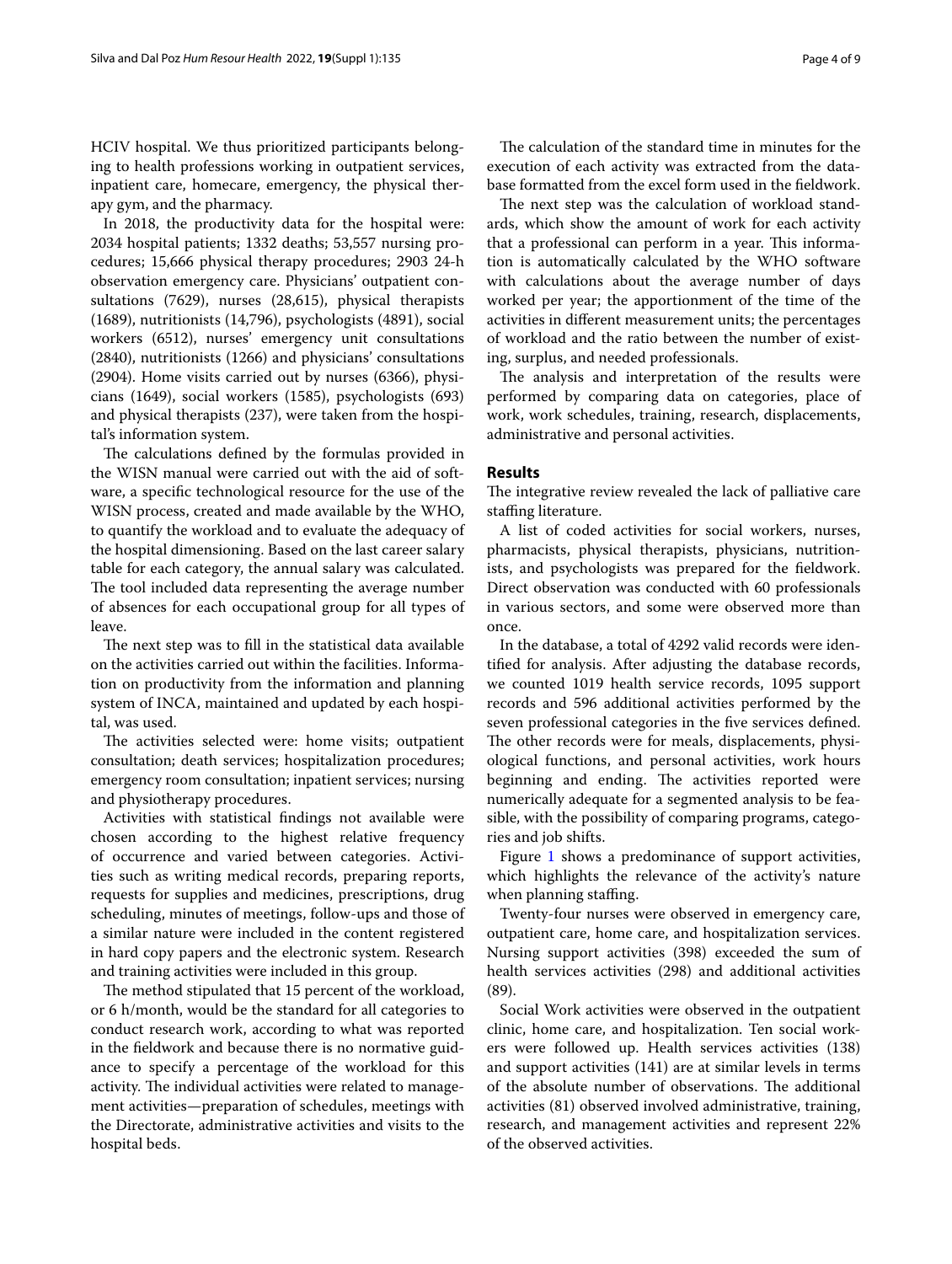HCIV hospital. We thus prioritized participants belonging to health professions working in outpatient services, inpatient care, homecare, emergency, the physical therapy gym, and the pharmacy.

In 2018, the productivity data for the hospital were: 2034 hospital patients; 1332 deaths; 53,557 nursing procedures; 15,666 physical therapy procedures; 2903 24-h observation emergency care. Physicians' outpatient consultations (7629), nurses (28,615), physical therapists (1689), nutritionists (14,796), psychologists (4891), social workers (6512), nurses' emergency unit consultations (2840), nutritionists (1266) and physicians' consultations (2904). Home visits carried out by nurses (6366), physicians (1649), social workers (1585), psychologists (693) and physical therapists (237), were taken from the hospital's information system.

The calculations defined by the formulas provided in the WISN manual were carried out with the aid of software, a specifc technological resource for the use of the WISN process, created and made available by the WHO, to quantify the workload and to evaluate the adequacy of the hospital dimensioning. Based on the last career salary table for each category, the annual salary was calculated. The tool included data representing the average number of absences for each occupational group for all types of leave.

The next step was to fill in the statistical data available on the activities carried out within the facilities. Information on productivity from the information and planning system of INCA, maintained and updated by each hospital, was used.

The activities selected were: home visits; outpatient consultation; death services; hospitalization procedures; emergency room consultation; inpatient services; nursing and physiotherapy procedures.

Activities with statistical fndings not available were chosen according to the highest relative frequency of occurrence and varied between categories. Activities such as writing medical records, preparing reports, requests for supplies and medicines, prescriptions, drug scheduling, minutes of meetings, follow-ups and those of a similar nature were included in the content registered in hard copy papers and the electronic system. Research and training activities were included in this group.

The method stipulated that 15 percent of the workload, or 6 h/month, would be the standard for all categories to conduct research work, according to what was reported in the feldwork and because there is no normative guidance to specify a percentage of the workload for this activity. The individual activities were related to management activities—preparation of schedules, meetings with the Directorate, administrative activities and visits to the hospital beds.

The calculation of the standard time in minutes for the execution of each activity was extracted from the database formatted from the excel form used in the feldwork.

The next step was the calculation of workload standards, which show the amount of work for each activity that a professional can perform in a year. This information is automatically calculated by the WHO software with calculations about the average number of days worked per year; the apportionment of the time of the activities in diferent measurement units; the percentages of workload and the ratio between the number of existing, surplus, and needed professionals.

The analysis and interpretation of the results were performed by comparing data on categories, place of work, work schedules, training, research, displacements, administrative and personal activities.

### **Results**

The integrative review revealed the lack of palliative care staffing literature.

A list of coded activities for social workers, nurses, pharmacists, physical therapists, physicians, nutritionists, and psychologists was prepared for the feldwork. Direct observation was conducted with 60 professionals in various sectors, and some were observed more than once.

In the database, a total of 4292 valid records were identifed for analysis. After adjusting the database records, we counted 1019 health service records, 1095 support records and 596 additional activities performed by the seven professional categories in the five services defined. The other records were for meals, displacements, physiological functions, and personal activities, work hours beginning and ending. The activities reported were numerically adequate for a segmented analysis to be feasible, with the possibility of comparing programs, categories and job shifts.

Figure [1](#page-4-0) shows a predominance of support activities, which highlights the relevance of the activity's nature when planning staffing.

Twenty-four nurses were observed in emergency care, outpatient care, home care, and hospitalization services. Nursing support activities (398) exceeded the sum of health services activities (298) and additional activities (89).

Social Work activities were observed in the outpatient clinic, home care, and hospitalization. Ten social workers were followed up. Health services activities (138) and support activities (141) are at similar levels in terms of the absolute number of observations. The additional activities (81) observed involved administrative, training, research, and management activities and represent 22% of the observed activities.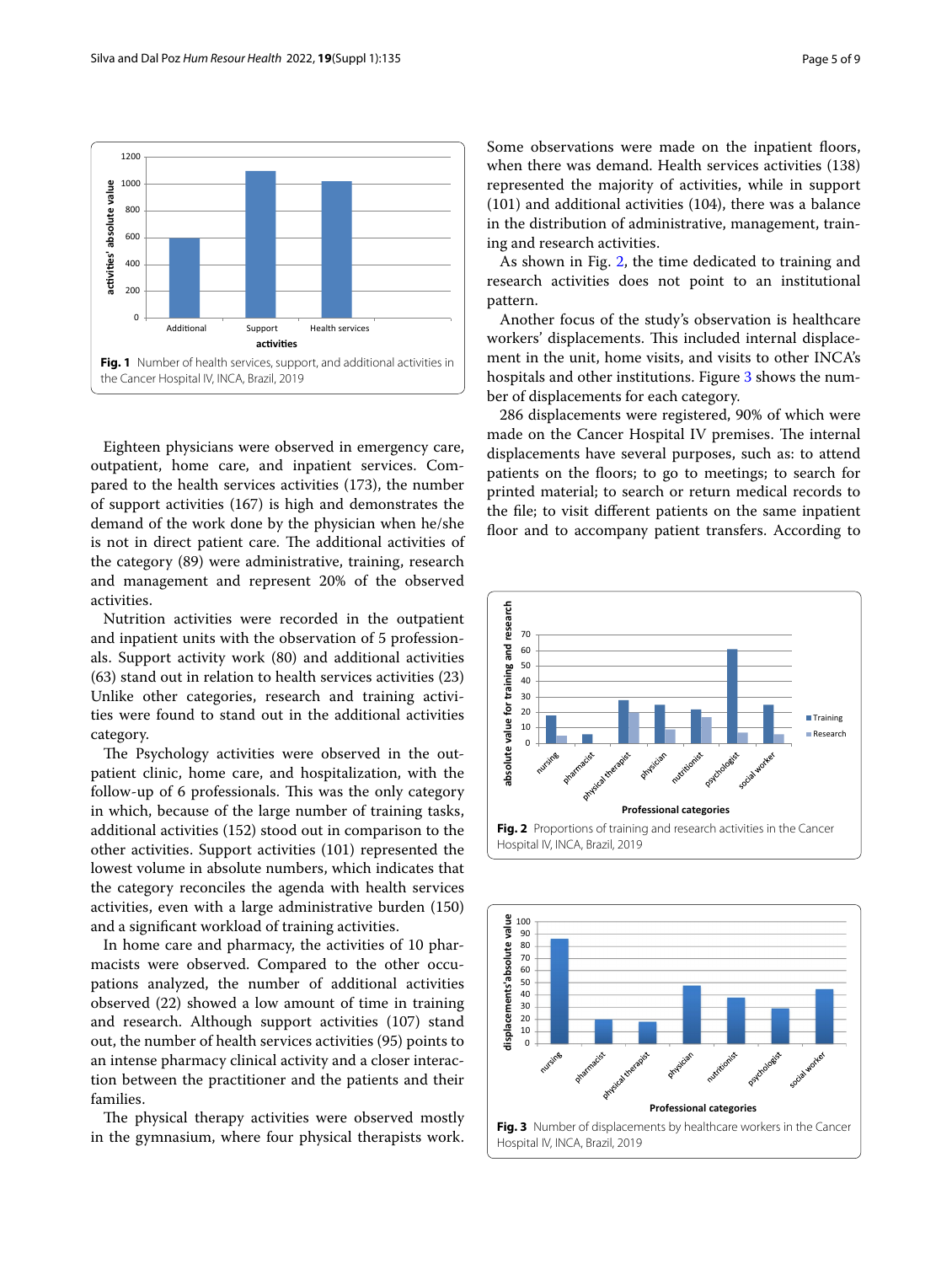

<span id="page-4-0"></span>Eighteen physicians were observed in emergency care, outpatient, home care, and inpatient services. Compared to the health services activities (173), the number of support activities (167) is high and demonstrates the demand of the work done by the physician when he/she is not in direct patient care. The additional activities of the category (89) were administrative, training, research and management and represent 20% of the observed activities.

Nutrition activities were recorded in the outpatient and inpatient units with the observation of 5 professionals. Support activity work (80) and additional activities (63) stand out in relation to health services activities (23) Unlike other categories, research and training activities were found to stand out in the additional activities category.

The Psychology activities were observed in the outpatient clinic, home care, and hospitalization, with the follow-up of 6 professionals. This was the only category in which, because of the large number of training tasks, additional activities (152) stood out in comparison to the other activities. Support activities (101) represented the lowest volume in absolute numbers, which indicates that the category reconciles the agenda with health services activities, even with a large administrative burden (150) and a signifcant workload of training activities.

In home care and pharmacy, the activities of 10 pharmacists were observed. Compared to the other occupations analyzed, the number of additional activities observed (22) showed a low amount of time in training and research. Although support activities (107) stand out, the number of health services activities (95) points to an intense pharmacy clinical activity and a closer interaction between the practitioner and the patients and their families.

The physical therapy activities were observed mostly in the gymnasium, where four physical therapists work. Some observations were made on the inpatient floors, when there was demand. Health services activities (138) represented the majority of activities, while in support (101) and additional activities (104), there was a balance in the distribution of administrative, management, training and research activities.

As shown in Fig. [2,](#page-4-1) the time dedicated to training and research activities does not point to an institutional pattern.

Another focus of the study's observation is healthcare workers' displacements. This included internal displacement in the unit, home visits, and visits to other INCA's hospitals and other institutions. Figure [3](#page-4-2) shows the number of displacements for each category.

286 displacements were registered, 90% of which were made on the Cancer Hospital IV premises. The internal displacements have several purposes, such as: to attend patients on the floors; to go to meetings; to search for printed material; to search or return medical records to the fle; to visit diferent patients on the same inpatient floor and to accompany patient transfers. According to



<span id="page-4-2"></span><span id="page-4-1"></span>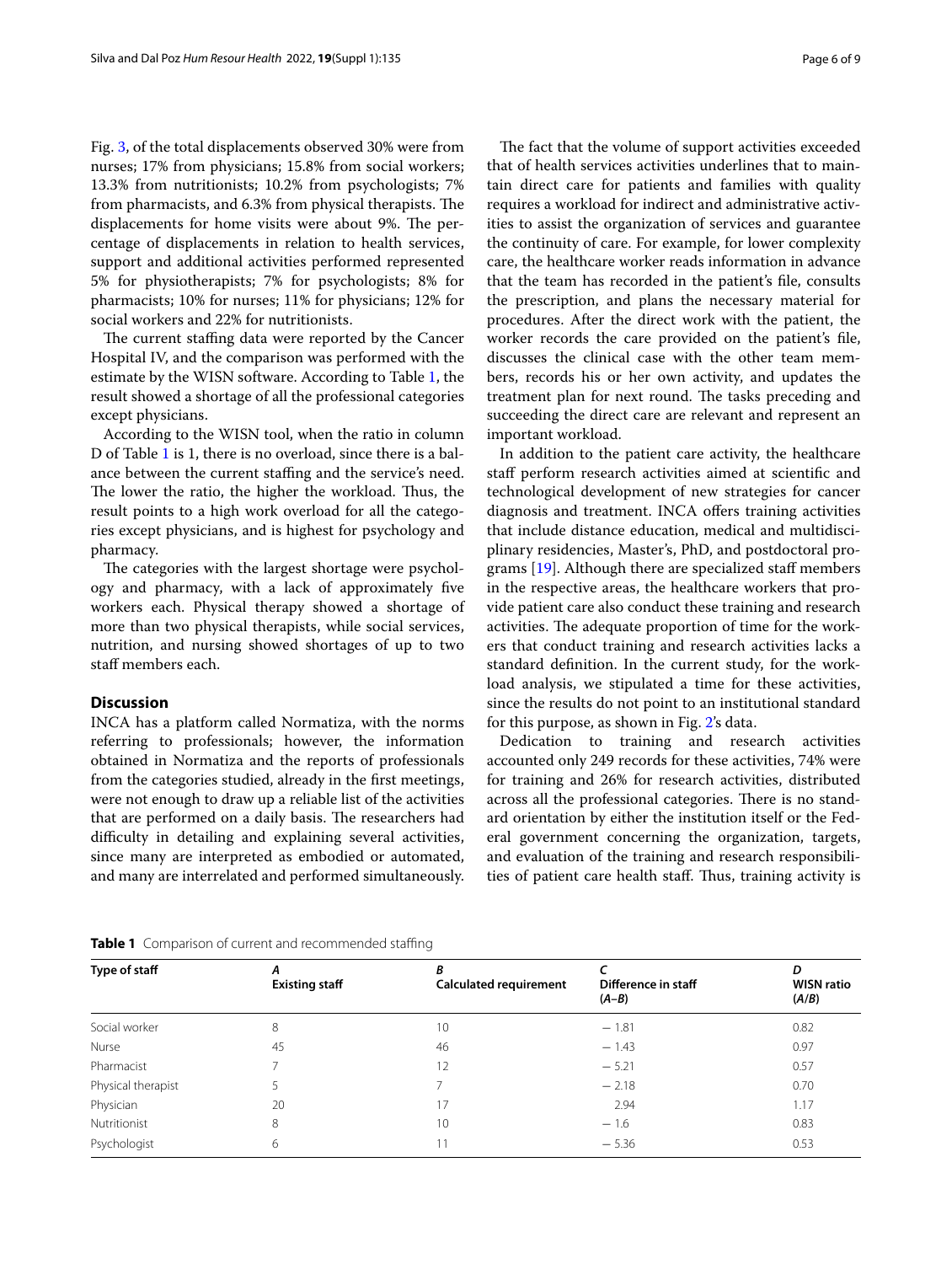Fig. [3,](#page-4-2) of the total displacements observed 30% were from nurses; 17% from physicians; 15.8% from social workers; 13.3% from nutritionists; 10.2% from psychologists; 7% from pharmacists, and 6.3% from physical therapists. The displacements for home visits were about 9%. The percentage of displacements in relation to health services, support and additional activities performed represented 5% for physiotherapists; 7% for psychologists; 8% for pharmacists; 10% for nurses; 11% for physicians; 12% for social workers and 22% for nutritionists.

The current staffing data were reported by the Cancer Hospital IV, and the comparison was performed with the estimate by the WISN software. According to Table [1](#page-5-0), the result showed a shortage of all the professional categories except physicians.

According to the WISN tool, when the ratio in column D of Table [1](#page-5-0) is 1, there is no overload, since there is a balance between the current staffing and the service's need. The lower the ratio, the higher the workload. Thus, the result points to a high work overload for all the categories except physicians, and is highest for psychology and pharmacy.

The categories with the largest shortage were psychology and pharmacy, with a lack of approximately fve workers each. Physical therapy showed a shortage of more than two physical therapists, while social services, nutrition, and nursing showed shortages of up to two staf members each.

#### **Discussion**

INCA has a platform called Normatiza, with the norms referring to professionals; however, the information obtained in Normatiza and the reports of professionals from the categories studied, already in the frst meetings, were not enough to draw up a reliable list of the activities that are performed on a daily basis. The researchers had difficulty in detailing and explaining several activities, since many are interpreted as embodied or automated, and many are interrelated and performed simultaneously.

The fact that the volume of support activities exceeded that of health services activities underlines that to maintain direct care for patients and families with quality requires a workload for indirect and administrative activities to assist the organization of services and guarantee the continuity of care. For example, for lower complexity care, the healthcare worker reads information in advance that the team has recorded in the patient's fle, consults the prescription, and plans the necessary material for procedures. After the direct work with the patient, the worker records the care provided on the patient's fle, discusses the clinical case with the other team members, records his or her own activity, and updates the treatment plan for next round. The tasks preceding and succeeding the direct care are relevant and represent an important workload.

In addition to the patient care activity, the healthcare staff perform research activities aimed at scientific and technological development of new strategies for cancer diagnosis and treatment. INCA ofers training activities that include distance education, medical and multidisciplinary residencies, Master's, PhD, and postdoctoral programs [\[19](#page-8-16)]. Although there are specialized staf members in the respective areas, the healthcare workers that provide patient care also conduct these training and research activities. The adequate proportion of time for the workers that conduct training and research activities lacks a standard defnition. In the current study, for the workload analysis, we stipulated a time for these activities, since the results do not point to an institutional standard for this purpose, as shown in Fig. [2](#page-4-1)'s data.

Dedication to training and research activities accounted only 249 records for these activities, 74% were for training and 26% for research activities, distributed across all the professional categories. There is no standard orientation by either the institution itself or the Federal government concerning the organization, targets, and evaluation of the training and research responsibilities of patient care health staff. Thus, training activity is

<span id="page-5-0"></span>

| Table 1 Comparison of current and recommended staffing |  |  |
|--------------------------------------------------------|--|--|
|                                                        |  |  |

| Type of staff      | А<br><b>Existing staff</b> | R<br><b>Calculated requirement</b> | Difference in staff<br>$(A-B)$ | D<br><b>WISN ratio</b><br>(A/B) |
|--------------------|----------------------------|------------------------------------|--------------------------------|---------------------------------|
| Social worker      | 8                          | 10                                 | $-1.81$                        | 0.82                            |
| Nurse              | 45                         | 46                                 | $-1.43$                        | 0.97                            |
| Pharmacist         |                            | 12                                 | $-5.21$                        | 0.57                            |
| Physical therapist |                            |                                    | $-2.18$                        | 0.70                            |
| Physician          | 20                         | 17                                 | 2.94                           | 1.17                            |
| Nutritionist       | 8                          | 10                                 | $-1.6$                         | 0.83                            |
| Psychologist       | 6                          | 11                                 | $-5.36$                        | 0.53                            |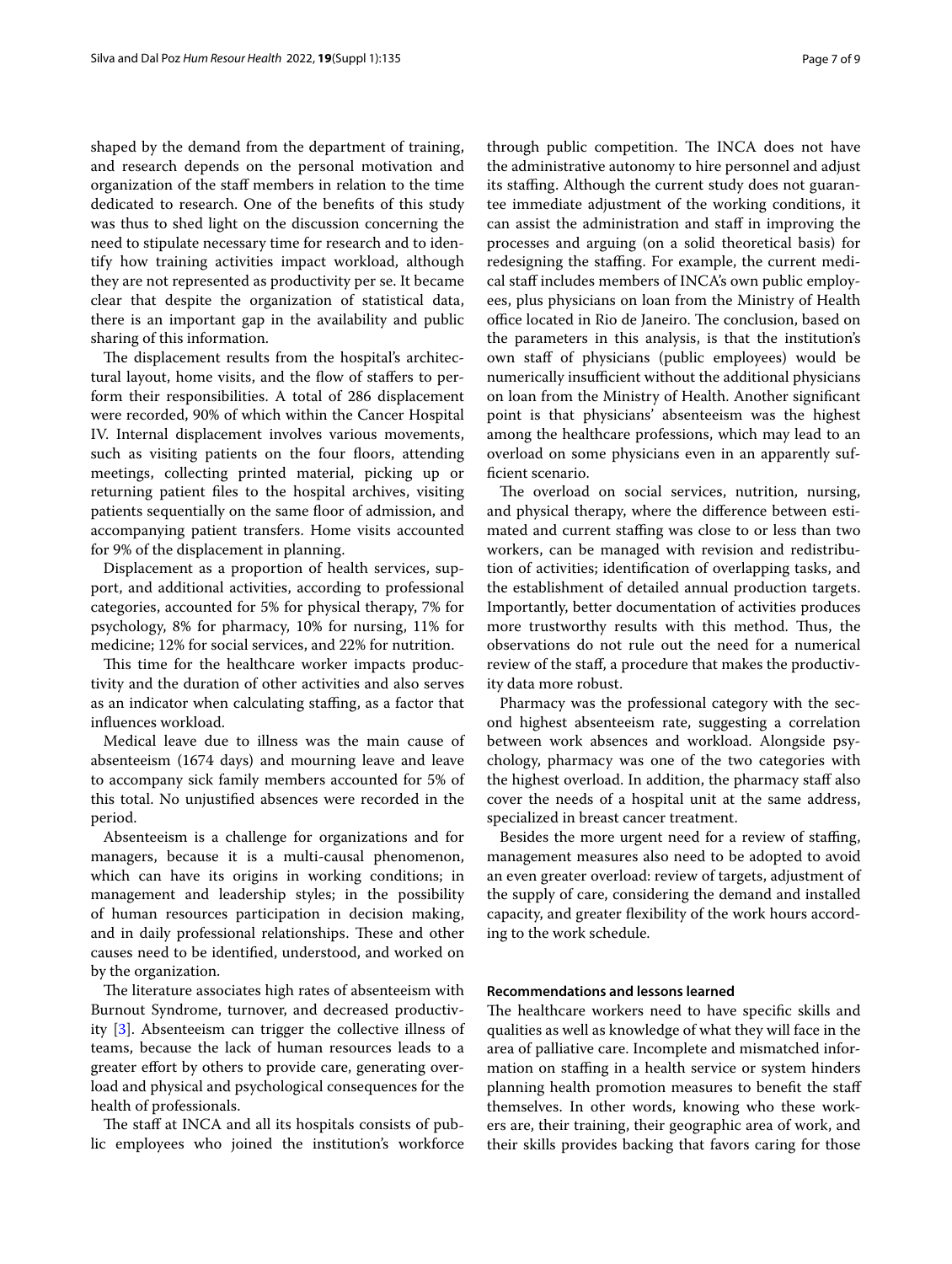shaped by the demand from the department of training, and research depends on the personal motivation and organization of the staf members in relation to the time dedicated to research. One of the benefts of this study was thus to shed light on the discussion concerning the need to stipulate necessary time for research and to identify how training activities impact workload, although they are not represented as productivity per se. It became clear that despite the organization of statistical data, there is an important gap in the availability and public sharing of this information.

The displacement results from the hospital's architectural layout, home visits, and the flow of staffers to perform their responsibilities. A total of 286 displacement were recorded, 90% of which within the Cancer Hospital IV. Internal displacement involves various movements, such as visiting patients on the four floors, attending meetings, collecting printed material, picking up or returning patient fles to the hospital archives, visiting patients sequentially on the same floor of admission, and accompanying patient transfers. Home visits accounted for 9% of the displacement in planning.

Displacement as a proportion of health services, support, and additional activities, according to professional categories, accounted for 5% for physical therapy, 7% for psychology, 8% for pharmacy, 10% for nursing, 11% for medicine; 12% for social services, and 22% for nutrition.

This time for the healthcare worker impacts productivity and the duration of other activities and also serves as an indicator when calculating staffing, as a factor that infuences workload.

Medical leave due to illness was the main cause of absenteeism (1674 days) and mourning leave and leave to accompany sick family members accounted for 5% of this total. No unjustifed absences were recorded in the period.

Absenteeism is a challenge for organizations and for managers, because it is a multi-causal phenomenon, which can have its origins in working conditions; in management and leadership styles; in the possibility of human resources participation in decision making, and in daily professional relationships. These and other causes need to be identifed, understood, and worked on by the organization.

The literature associates high rates of absenteeism with Burnout Syndrome, turnover, and decreased productivity [\[3\]](#page-8-17). Absenteeism can trigger the collective illness of teams, because the lack of human resources leads to a greater effort by others to provide care, generating overload and physical and psychological consequences for the health of professionals.

The staff at INCA and all its hospitals consists of public employees who joined the institution's workforce through public competition. The INCA does not have the administrative autonomy to hire personnel and adjust its staffing. Although the current study does not guarantee immediate adjustment of the working conditions, it can assist the administration and staf in improving the processes and arguing (on a solid theoretical basis) for redesigning the staffing. For example, the current medical staf includes members of INCA's own public employees, plus physicians on loan from the Ministry of Health office located in Rio de Janeiro. The conclusion, based on the parameters in this analysis, is that the institution's own staf of physicians (public employees) would be numerically insufficient without the additional physicians on loan from the Ministry of Health. Another signifcant point is that physicians' absenteeism was the highest among the healthcare professions, which may lead to an overload on some physicians even in an apparently suffcient scenario.

The overload on social services, nutrition, nursing, and physical therapy, where the diference between estimated and current staffing was close to or less than two workers, can be managed with revision and redistribution of activities; identifcation of overlapping tasks, and the establishment of detailed annual production targets. Importantly, better documentation of activities produces more trustworthy results with this method. Thus, the observations do not rule out the need for a numerical review of the staf, a procedure that makes the productivity data more robust.

Pharmacy was the professional category with the second highest absenteeism rate, suggesting a correlation between work absences and workload. Alongside psychology, pharmacy was one of the two categories with the highest overload. In addition, the pharmacy staf also cover the needs of a hospital unit at the same address, specialized in breast cancer treatment.

Besides the more urgent need for a review of staffing, management measures also need to be adopted to avoid an even greater overload: review of targets, adjustment of the supply of care, considering the demand and installed capacity, and greater fexibility of the work hours according to the work schedule.

## **Recommendations and lessons learned**

The healthcare workers need to have specific skills and qualities as well as knowledge of what they will face in the area of palliative care. Incomplete and mismatched information on staffing in a health service or system hinders planning health promotion measures to benefit the staff themselves. In other words, knowing who these workers are, their training, their geographic area of work, and their skills provides backing that favors caring for those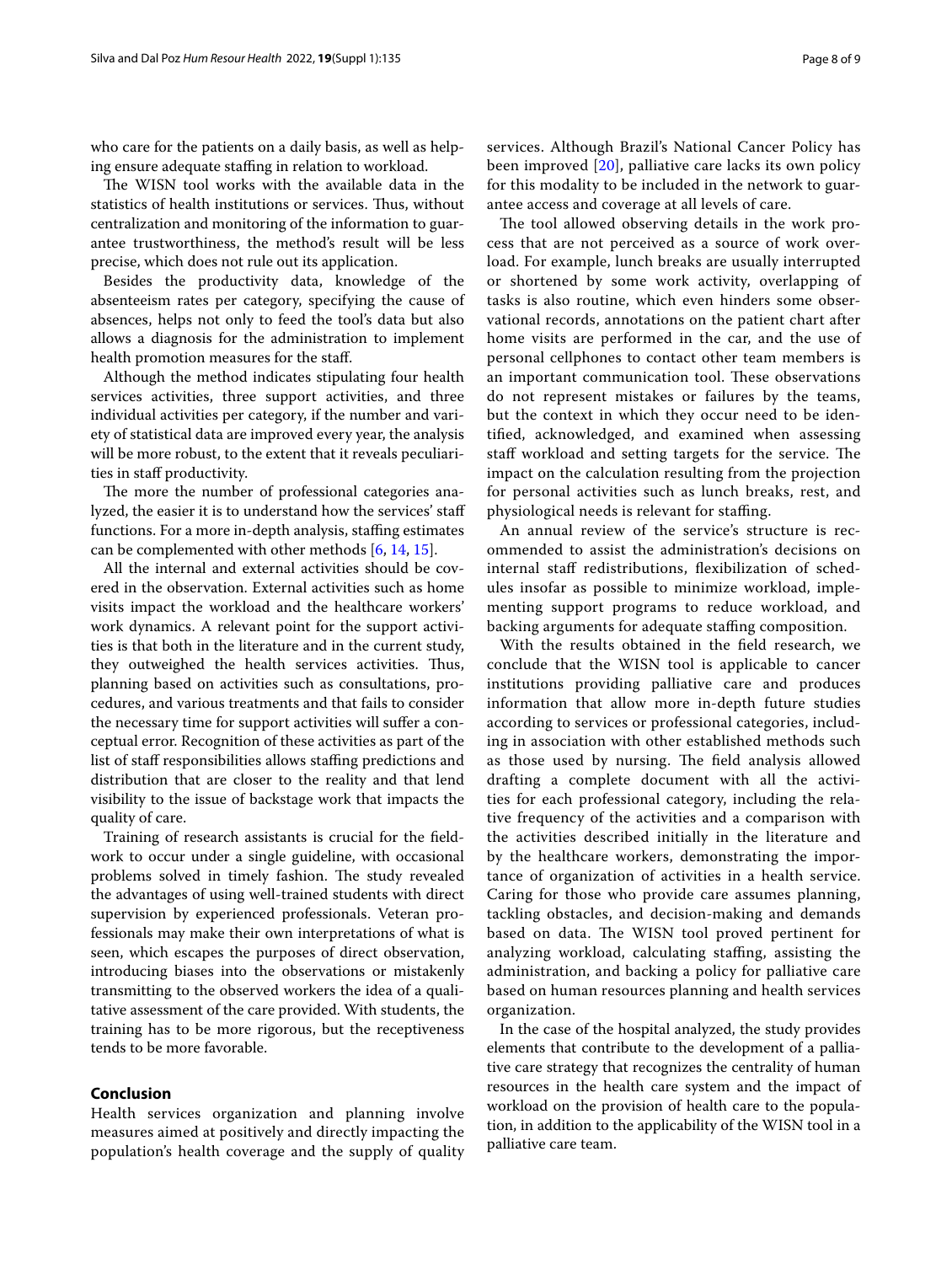who care for the patients on a daily basis, as well as helping ensure adequate staffing in relation to workload.

The WISN tool works with the available data in the statistics of health institutions or services. Thus, without centralization and monitoring of the information to guarantee trustworthiness, the method's result will be less precise, which does not rule out its application.

Besides the productivity data, knowledge of the absenteeism rates per category, specifying the cause of absences, helps not only to feed the tool's data but also allows a diagnosis for the administration to implement health promotion measures for the staf.

Although the method indicates stipulating four health services activities, three support activities, and three individual activities per category, if the number and variety of statistical data are improved every year, the analysis will be more robust, to the extent that it reveals peculiarities in staff productivity.

The more the number of professional categories analyzed, the easier it is to understand how the services' staf functions. For a more in-depth analysis, staffing estimates can be complemented with other methods [[6,](#page-8-3) [14](#page-8-11), [15\]](#page-8-12).

All the internal and external activities should be covered in the observation. External activities such as home visits impact the workload and the healthcare workers' work dynamics. A relevant point for the support activities is that both in the literature and in the current study, they outweighed the health services activities. Thus, planning based on activities such as consultations, procedures, and various treatments and that fails to consider the necessary time for support activities will sufer a conceptual error. Recognition of these activities as part of the list of staff responsibilities allows staffing predictions and distribution that are closer to the reality and that lend visibility to the issue of backstage work that impacts the quality of care.

Training of research assistants is crucial for the feldwork to occur under a single guideline, with occasional problems solved in timely fashion. The study revealed the advantages of using well-trained students with direct supervision by experienced professionals. Veteran professionals may make their own interpretations of what is seen, which escapes the purposes of direct observation, introducing biases into the observations or mistakenly transmitting to the observed workers the idea of a qualitative assessment of the care provided. With students, the training has to be more rigorous, but the receptiveness tends to be more favorable.

## **Conclusion**

Health services organization and planning involve measures aimed at positively and directly impacting the population's health coverage and the supply of quality services. Although Brazil's National Cancer Policy has been improved [[20\]](#page-8-18), palliative care lacks its own policy for this modality to be included in the network to guarantee access and coverage at all levels of care.

The tool allowed observing details in the work process that are not perceived as a source of work overload. For example, lunch breaks are usually interrupted or shortened by some work activity, overlapping of tasks is also routine, which even hinders some observational records, annotations on the patient chart after home visits are performed in the car, and the use of personal cellphones to contact other team members is an important communication tool. These observations do not represent mistakes or failures by the teams, but the context in which they occur need to be identifed, acknowledged, and examined when assessing staff workload and setting targets for the service. The impact on the calculation resulting from the projection for personal activities such as lunch breaks, rest, and physiological needs is relevant for stafng.

An annual review of the service's structure is recommended to assist the administration's decisions on internal staff redistributions, flexibilization of schedules insofar as possible to minimize workload, implementing support programs to reduce workload, and backing arguments for adequate staffing composition.

With the results obtained in the feld research, we conclude that the WISN tool is applicable to cancer institutions providing palliative care and produces information that allow more in-depth future studies according to services or professional categories, including in association with other established methods such as those used by nursing. The field analysis allowed drafting a complete document with all the activities for each professional category, including the relative frequency of the activities and a comparison with the activities described initially in the literature and by the healthcare workers, demonstrating the importance of organization of activities in a health service. Caring for those who provide care assumes planning, tackling obstacles, and decision-making and demands based on data. The WISN tool proved pertinent for analyzing workload, calculating staffing, assisting the administration, and backing a policy for palliative care based on human resources planning and health services organization.

In the case of the hospital analyzed, the study provides elements that contribute to the development of a palliative care strategy that recognizes the centrality of human resources in the health care system and the impact of workload on the provision of health care to the population, in addition to the applicability of the WISN tool in a palliative care team.